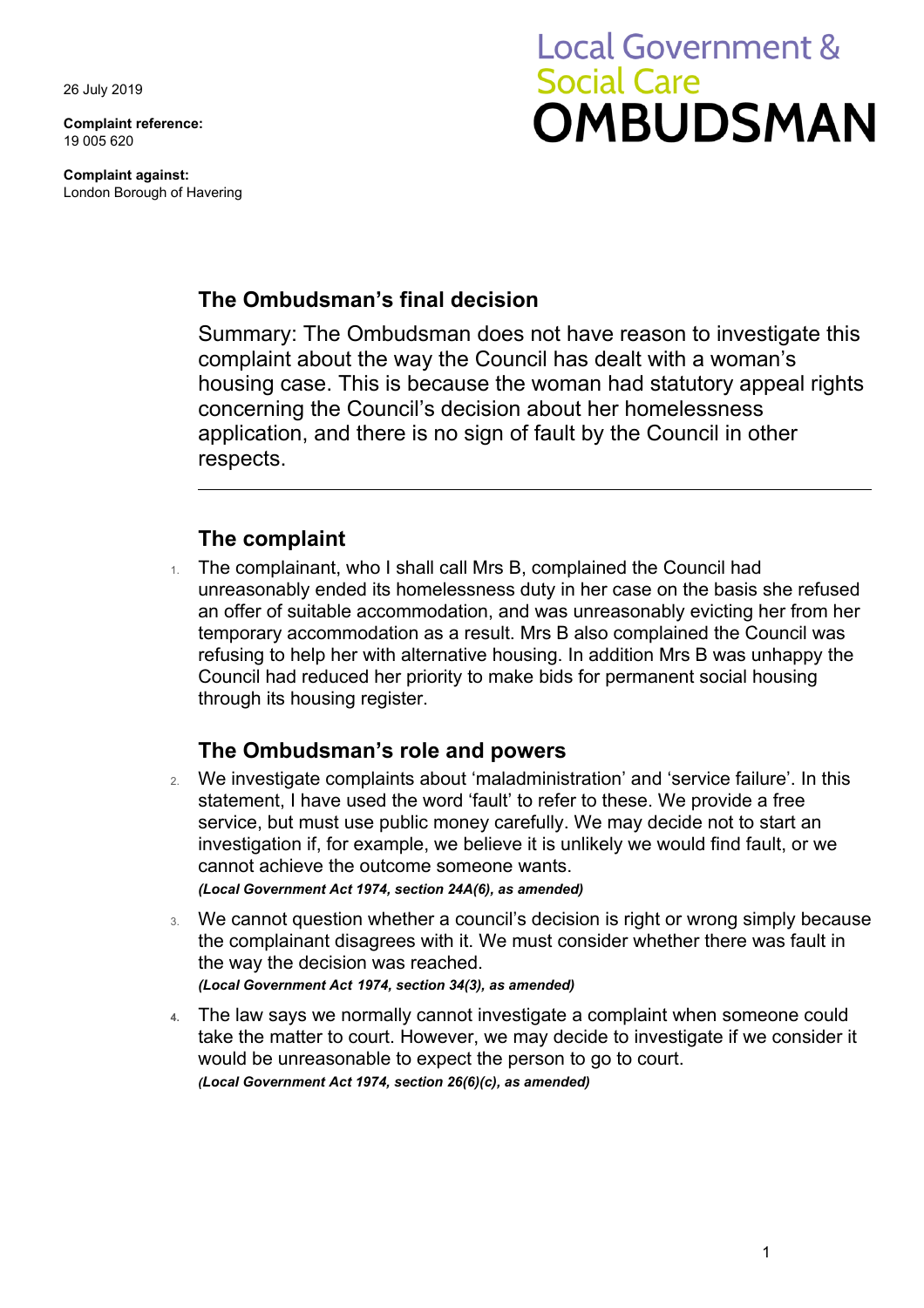26 July 2019

**Complaint reference:**  19 005 620

**Complaint against:**  London Borough of Havering

# **Local Government & Social Care OMBUDSMAN**

## **The Ombudsman's final decision**

 complaint about the way the Council has dealt with a woman's housing case. This is because the woman had statutory appeal rights Summary: The Ombudsman does not have reason to investigate this concerning the Council's decision about her homelessness application, and there is no sign of fault by the Council in other respects.

# **The complaint**

 temporary accommodation as a result. Mrs B also complained the Council was 1. The complainant, who I shall call Mrs B, complained the Council had unreasonably ended its homelessness duty in her case on the basis she refused an offer of suitable accommodation, and was unreasonably evicting her from her refusing to help her with alternative housing. In addition Mrs B was unhappy the Council had reduced her priority to make bids for permanent social housing through its housing register.

## **The Ombudsman's role and powers**

- service, but must use public money carefully. We may decide not to start an investigation if, for example, we believe it is unlikely we would find fault, or we 2. We investigate complaints about 'maladministration' and 'service failure'. In this statement, I have used the word 'fault' to refer to these. We provide a free cannot achieve the outcome someone wants. *(Local Government Act 1974, section 24A(6), as amended)*
- 3. We cannot question whether a council's decision is right or wrong simply because the complainant disagrees with it. We must consider whether there was fault in the way the decision was reached. *(Local Government Act 1974, section 34(3), as amended)*
- would be unreasonable to expect the person to go to court. **4.** The law says we normally cannot investigate a complaint when someone could take the matter to court. However, we may decide to investigate if we consider it *(Local Government Act 1974, section 26(6)(c), as amended)*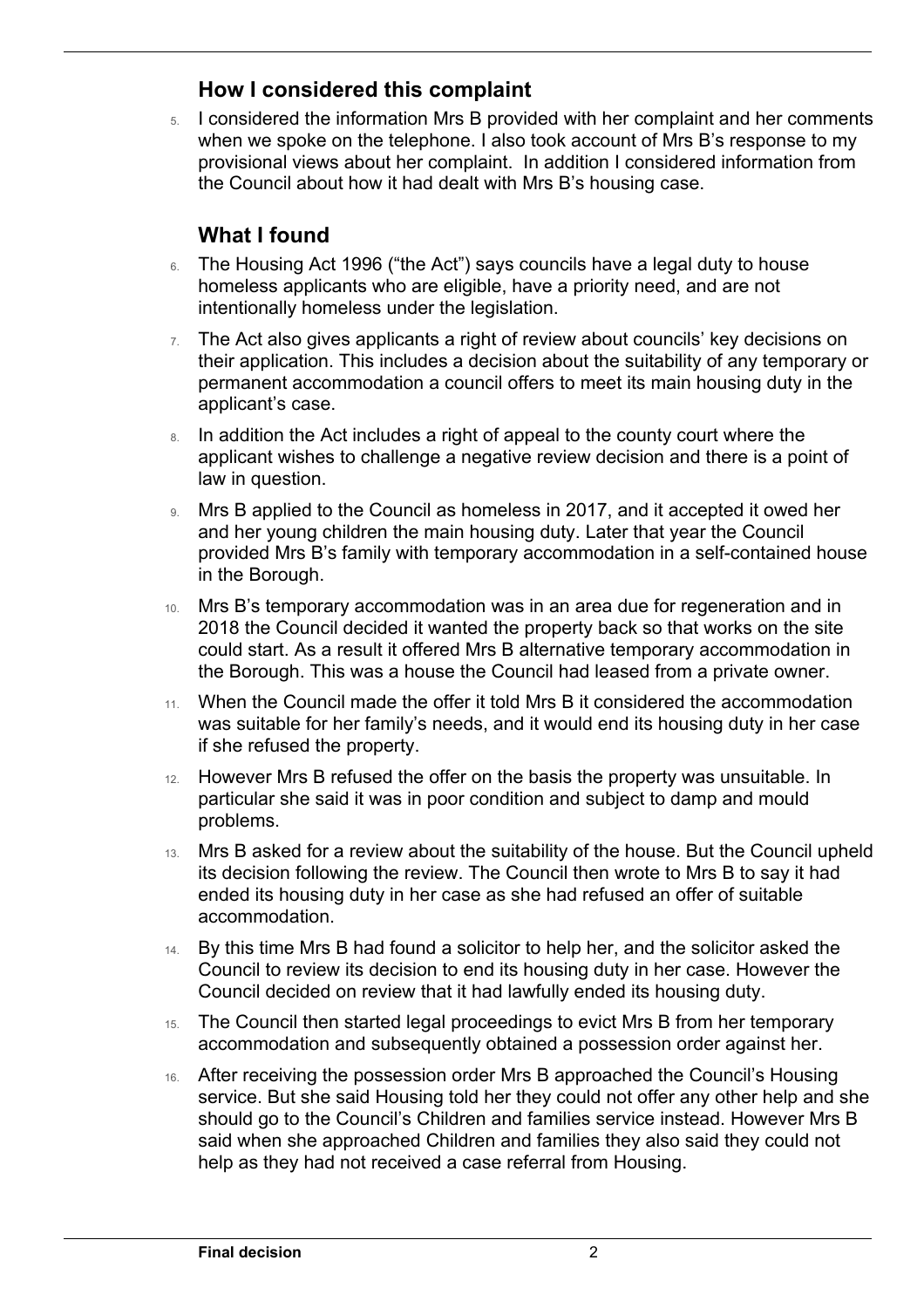#### **How I considered this complaint**

5. I considered the information Mrs B provided with her complaint and her comments when we spoke on the telephone. I also took account of Mrs B's response to my provisional views about her complaint. In addition I considered information from the Council about how it had dealt with Mrs B's housing case.

# **What I found**

 $\overline{a}$ 

- 6. The Housing Act 1996 ("the Act") says councils have a legal duty to house homeless applicants who are eligible, have a priority need, and are not intentionally homeless under the legislation.
- $7.$  The Act also gives applicants a right of review about councils' key decisions on their application. This includes a decision about the suitability of any temporary or permanent accommodation a council offers to meet its main housing duty in the applicant's case.
- applicant wishes to challenge a negative review decision and there is a point of 8. In addition the Act includes a right of appeal to the county court where the law in question.
- provided Mrs B's family with temporary accommodation in a self-contained house 9. Mrs B applied to the Council as homeless in 2017, and it accepted it owed her and her young children the main housing duty. Later that year the Council in the Borough.
- 2018 the Council decided it wanted the property back so that works on the site 10. Mrs B's temporary accommodation was in an area due for regeneration and in could start. As a result it offered Mrs B alternative temporary accommodation in the Borough. This was a house the Council had leased from a private owner.
- 11. When the Council made the offer it told Mrs B it considered the accommodation was suitable for her family's needs, and it would end its housing duty in her case if she refused the property.
- 12. However Mrs B refused the offer on the basis the property was unsuitable. In particular she said it was in poor condition and subject to damp and mould problems.
- ended its housing duty in her case as she had refused an offer of suitable 13. Mrs B asked for a review about the suitability of the house. But the Council upheld its decision following the review. The Council then wrote to Mrs B to say it had accommodation.
- 14. By this time Mrs B had found a solicitor to help her, and the solicitor asked the Council to review its decision to end its housing duty in her case. However the Council decided on review that it had lawfully ended its housing duty.
- 15. The Council then started legal proceedings to evict Mrs B from her temporary accommodation and subsequently obtained a possession order against her.
- help as they had not received a case referral from Housing. 16. After receiving the possession order Mrs B approached the Council's Housing service. But she said Housing told her they could not offer any other help and she should go to the Council's Children and families service instead. However Mrs B said when she approached Children and families they also said they could not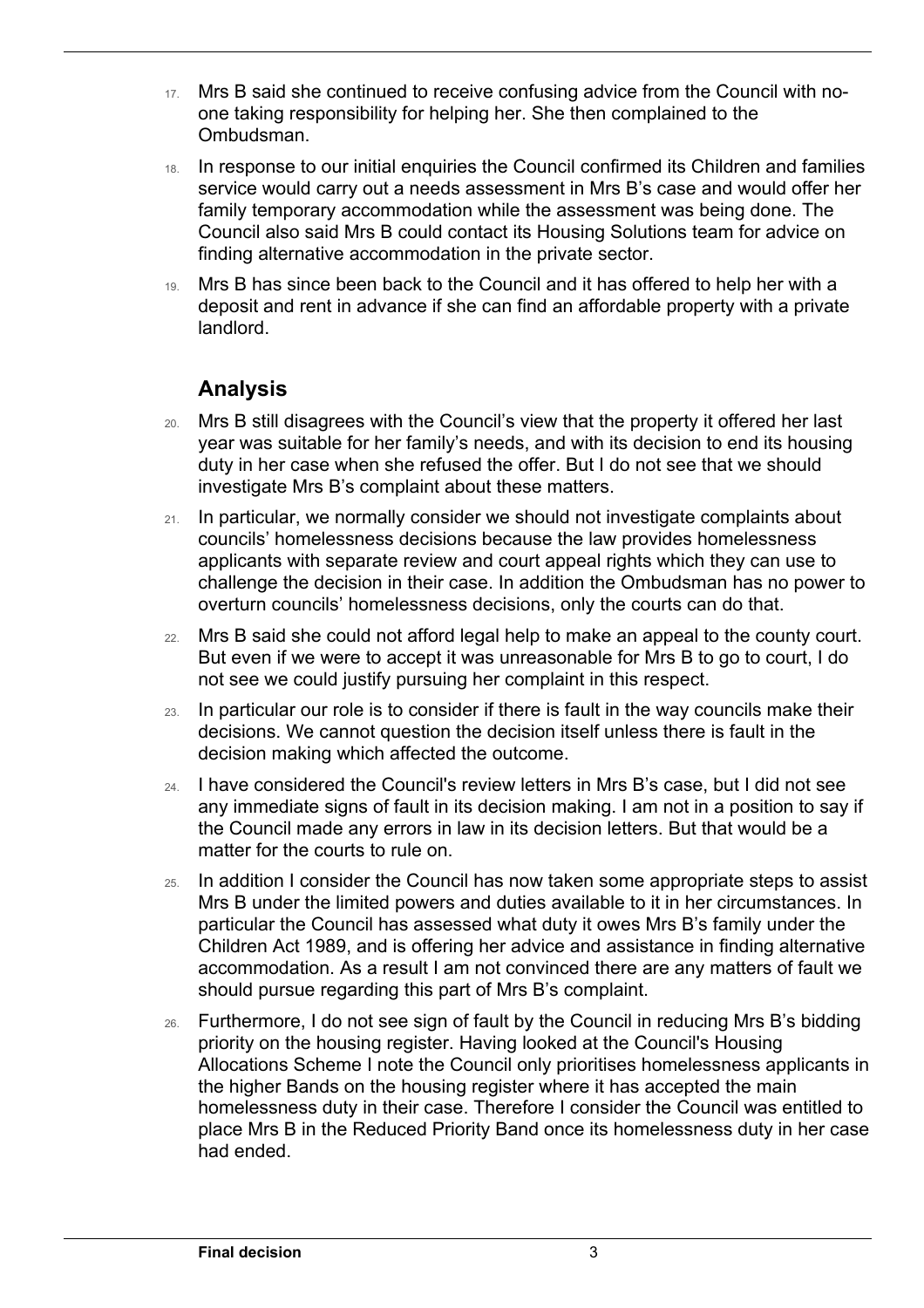- 17. Mrs B said she continued to receive confusing advice from the Council with noone taking responsibility for helping her. She then complained to the **Ombudsman**
- 18. In response to our initial enquiries the Council confirmed its Children and families service would carry out a needs assessment in Mrs B's case and would offer her family temporary accommodation while the assessment was being done. The Council also said Mrs B could contact its Housing Solutions team for advice on finding alternative accommodation in the private sector.
- 19. Mrs B has since been back to the Council and it has offered to help her with a deposit and rent in advance if she can find an affordable property with a private landlord.

## **Analysis**

 $\overline{a}$ 

- duty in her case when she refused the offer. But I do not see that we should 20. Mrs B still disagrees with the Council's view that the property it offered her last year was suitable for her family's needs, and with its decision to end its housing investigate Mrs B's complaint about these matters.
- 21. In particular, we normally consider we should not investigate complaints about councils' homelessness decisions because the law provides homelessness applicants with separate review and court appeal rights which they can use to challenge the decision in their case. In addition the Ombudsman has no power to overturn councils' homelessness decisions, only the courts can do that.
- 22. Mrs B said she could not afford legal help to make an appeal to the county court. But even if we were to accept it was unreasonable for Mrs B to go to court, I do not see we could justify pursuing her complaint in this respect.
- 23. In particular our role is to consider if there is fault in the way councils make their decisions. We cannot question the decision itself unless there is fault in the decision making which affected the outcome.
- any immediate signs of fault in its decision making. I am not in a position to say if 24. I have considered the Council's review letters in Mrs B's case, but I did not see the Council made any errors in law in its decision letters. But that would be a matter for the courts to rule on.
- 25. In addition I consider the Council has now taken some appropriate steps to assist Mrs B under the limited powers and duties available to it in her circumstances. In particular the Council has assessed what duty it owes Mrs B's family under the Children Act 1989, and is offering her advice and assistance in finding alternative accommodation. As a result I am not convinced there are any matters of fault we should pursue regarding this part of Mrs B's complaint.
- place Mrs B in the Reduced Priority Band once its homelessness duty in her case 26. Furthermore, I do not see sign of fault by the Council in reducing Mrs B's bidding priority on the housing register. Having looked at the Council's Housing Allocations Scheme I note the Council only prioritises homelessness applicants in the higher Bands on the housing register where it has accepted the main homelessness duty in their case. Therefore I consider the Council was entitled to had ended.